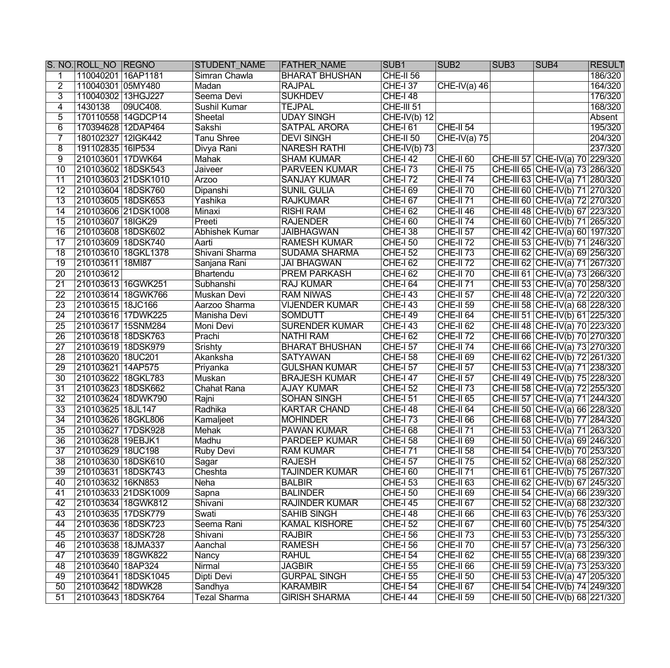|                 | S. NO. ROLL NO REGNO |                     | <b>STUDENT NAME</b> | <b>FATHER_NAME</b>    | SUB <sub>1</sub> | SUB <sub>2</sub>     | SUB <sub>3</sub> | <b>SUB4</b>                       | <b>RESULT</b> |
|-----------------|----------------------|---------------------|---------------------|-----------------------|------------------|----------------------|------------------|-----------------------------------|---------------|
|                 | 110040201 16AP1181   |                     | Simran Chawla       | <b>BHARAT BHUSHAN</b> | CHE-II 56        |                      |                  |                                   | 186/320       |
| $\overline{2}$  | 110040301 05MY480    |                     | Madan               | <b>RAJPAL</b>         | CHE-137          | $CHE-IV(a)$ 46       |                  |                                   | 164/320       |
| 3               | 110040302 13HGJ227   |                     | Seema Devi          | <b>SUKHDEV</b>        | <b>CHE-I 48</b>  |                      |                  |                                   | 176/320       |
| 4               | 1430138              | 09UC408.            | Sushil Kumar        | <b>TEJPAL</b>         | CHE-III 51       |                      |                  |                                   | 168/320       |
| 5               |                      | 170110558 14GDCP14  | Sheetal             | <b>UDAY SINGH</b>     | $CHE-IV(b)$ 12   |                      |                  |                                   | Absent        |
| 6               | 170394628 12DAP464   |                     | Sakshi              | <b>SATPAL ARORA</b>   | <b>CHE-161</b>   | $CHE-II 54$          |                  |                                   | 195/320       |
| 7               | 180102327 12IGK442   |                     | <b>Tanu Shree</b>   | <b>DEVI SINGH</b>     | $CHE-II 50$      | $CHE-IV(a)$ 75       |                  |                                   | 204/320       |
| 8               | 191102835 16IP534    |                     | Divya Rani          | <b>NARESH RATHI</b>   | $CHE-IV(b)$ 73   |                      |                  |                                   | 237/320       |
| $\overline{9}$  | 210103601 17DWK64    |                     | Mahak               | <b>SHAM KUMAR</b>     | <b>CHE-142</b>   | $CHE-II 60$          |                  | CHE-III 57 CHE-IV(a) 70 229/320   |               |
| $\overline{10}$ | 210103602 18DSK543   |                     | <b>Jaiveer</b>      | <b>PARVEEN KUMAR</b>  | <b>CHE-I 73</b>  | $CHE-II 75$          |                  | CHE-III 65 CHE-IV(a) 73 286/320   |               |
| $\overline{11}$ |                      | 210103603 21DSK1010 | <b>Arzoo</b>        | <b>SANJAY KUMAR</b>   | <b>CHE-I72</b>   | $CHE-II 74$          |                  | CHE-III 63 CHE-IV(a) 71 280/320   |               |
| $\overline{12}$ | 210103604 18DSK760   |                     | Dipanshi            | <b>SUNIL GULIA</b>    | <b>CHE-I 69</b>  | $CHE-II 70$          |                  | CHE-III 60 CHE-IV(b) 71 270/320   |               |
| $\overline{13}$ | 210103605 18DSK653   |                     | Yashika             | <b>RAJKUMAR</b>       | <b>CHE-167</b>   | $CHE-II 71$          |                  | CHE-III 60 CHE-IV(a) 72 270/320   |               |
| $\overline{14}$ |                      | 210103606 21DSK1008 | Minaxi              | <b>RISHI RAM</b>      | <b>CHE-I 62</b>  | $CHE-II 46$          |                  | CHE-III 48 CHE-IV(b) 67 223/320   |               |
| $\overline{15}$ | 210103607 18IGK29    |                     | Preeti              | <b>RAJENDER</b>       | <b>CHE-I 60</b>  | $CHE-II 74$          |                  | CHE-III 60 CHE-IV(b) 71 265/320   |               |
| 16              | 210103608 18DSK602   |                     | Abhishek Kumar      | <b>JAIBHAGWAN</b>     | <b>CHE-I 38</b>  | $CHE-II 57$          |                  | CHE-III 42 CHE-IV(a) 60 197/320   |               |
| $\overline{17}$ | 210103609 18DSK740   |                     | Aarti               | <b>RAMESH KUMAR</b>   | <b>CHE-I 50</b>  | $CHE-II 72$          |                  | CHE-III 53 CHE-IV(b) 71 246/320   |               |
| $\overline{18}$ |                      | 210103610 18GKL1378 | Shivani Sharma      | <b>SUDAMA SHARMA</b>  | <b>CHE-I 52</b>  | $CHE-II 73$          |                  | CHE-III 62 CHE-IV(a) 69 256/320   |               |
| $\overline{19}$ | 210103611 18MI87     |                     | Sanjana Rani        | <b>JAI BHAGWAN</b>    | <b>CHE-I 62</b>  | <b>CHE-II 72</b>     |                  | CHE-III 62 CHE-IV(a) 71 267/320   |               |
| $\overline{20}$ | 210103612            |                     | Bhartendu           | <b>PREM PARKASH</b>   | <b>CHE-I 62</b>  | <b>CHE-II 70</b>     |                  | CHE-III 61 CHE-IV(a) 73 266/320   |               |
| $\overline{21}$ | 210103613 16GWK251   |                     | Subhanshi           | <b>RAJ KUMAR</b>      | <b>CHE-164</b>   | $CHE-II 71$          |                  | CHE-III 53 CHE-IV(a) 70 258/320   |               |
| $\overline{22}$ |                      | 210103614 18GWK766  | Muskan Devi         | <b>RAM NIWAS</b>      | $CHE-I$ 43       | $CHE-II 57$          |                  | CHE-III 48 CHE-IV(a) 72 220/320   |               |
| $\overline{23}$ | 210103615 18JC166    |                     | Aarzoo Sharma       | <b>VIJENDER KUMAR</b> | <b>CHE-143</b>   | $ $ CHE-II 59        |                  | CHE-III 58 CHE-IV(a) 68 228/320   |               |
| $\overline{24}$ |                      | 210103616 17DWK225  | Manisha Devi        | <b>SOMDUTT</b>        | <b>CHE-I 49</b>  | $ $ CHE-II 64        |                  | CHE-III 51 CHE-IV(b) 61 225/320   |               |
| $\overline{25}$ | 210103617   15SNM284 |                     | Moni Devi           | <b>SURENDER KUMAR</b> | <b>CHE-I 43</b>  | $CHE-II 62$          |                  | CHE-III 48 CHE-IV(a) 70 223/320   |               |
| $\overline{26}$ | 210103618 18DSK763   |                     | Prachi              | <b>NATHI RAM</b>      | <b>CHE-I 62</b>  | $CHE-II 72$          |                  | CHE-III 66 CHE-IV(b) 70 270/320   |               |
| $\overline{27}$ | 210103619 18DSK979   |                     | Srishty             | <b>BHARAT BHUSHAN</b> | <b>CHE-157</b>   | <b>CHE-II 74</b>     |                  | CHE-III 66 CHE-IV(a) 73 270/320   |               |
| $\overline{28}$ | 210103620 18UC201    |                     | Akanksha            | <b>SATYAWAN</b>       | <b>CHE-I 58</b>  | $CHE-II 69$          |                  | CHE-III 62 CHE-IV(b) 72 261/320   |               |
| $\overline{29}$ | 210103621 14AP575    |                     | Priyanka            | <b>GULSHAN KUMAR</b>  | <b>CHE-157</b>   | $CHE-II 57$          |                  | CHE-III 53 CHE-IV(a) 71 238/320   |               |
| $\overline{30}$ | 210103622 18GKL783   |                     | Muskan              | <b>BRAJESH KUMAR</b>  | <b>CHE-147</b>   | $CHE-II 57$          |                  | CHE-III 49 CHE-IV(b) 75 228/320   |               |
| $\overline{31}$ | 210103623 18DSK662   |                     | Chahat Rana         | <b>AJAY KUMAR</b>     | <b>CHE-I 52</b>  | $CHE-II 73$          |                  | CHE-III 58 CHE-IV(a) 72 255/320   |               |
| $\overline{32}$ |                      | 210103624 18DWK790  | Rajni               | <b>SOHAN SINGH</b>    | CHE-I 51         | $CHE-II 65$          |                  | CHE-III 57 CHE-IV(a) 71 244/320   |               |
| $\overline{33}$ | 210103625 18JL147    |                     | Radhika             | <b>KARTAR CHAND</b>   | <b>CHE-I 48</b>  | $CHE-II 64$          |                  | CHE-III 50 CHE-IV(a) 66 228/320   |               |
| $\overline{34}$ | 210103626 18GKL806   |                     | Kamaljeet           | <b>MOHINDER</b>       | <b>CHE-I 73</b>  | CHE-II <sub>66</sub> |                  | CHE-III 68 CHE-IV(b) 77 284/320   |               |
| $\overline{35}$ | 210103627 17DSK928   |                     | Mehak               | <b>PAWAN KUMAR</b>    | <b>CHE-I 68</b>  | <b>CHE-II 71</b>     |                  | CHE-III 53 CHE-IV(a) 71 263/320   |               |
| $\overline{36}$ | 210103628 19EBJK1    |                     | Madhu               | <b>PARDEEP KUMAR</b>  | <b>CHE-I 58</b>  | CHE-II <sub>69</sub> |                  | CHE-III 50 CHE-IV(a) 69 246/320   |               |
| 37              | 210103629 18UC198    |                     | Ruby Devi           | <b>RAM KUMAR</b>      | <b>CHE-171</b>   | $CHE-II 58$          |                  | CHE-III 54 CHE-IV(b) 70 253/320   |               |
| $\overline{38}$ | 210103630 18DSK610   |                     | Sagar               | <b>RAJESH</b>         | <b>CHE-157</b>   | $ $ CHE-II 75        |                  | CHE-III 52 CHE-IV(a) 68 252/320   |               |
| $\overline{39}$ | 210103631 18DSK743   |                     | Cheshta             | <b>TAJINDER KUMAR</b> | <b>CHE-I 60</b>  | CHE-II <sub>71</sub> |                  | CHE-III 61 CHE-IV(b) 75 267/320   |               |
| 40              | 210103632 16KN853    |                     | Neha                | <b>BALBIR</b>         | <b>CHE-I 53</b>  | $CHE-II 63$          |                  | CHE-III 62 CHE-IV(b) 67 245/320   |               |
| 41              |                      | 210103633 21DSK1009 | Sapna               | <b>BALINDER</b>       | <b>CHE-I 50</b>  | $CHE-II 69$          |                  | CHE-III 54 CHE-IV(a) 66 239/320   |               |
| 42              |                      | 210103634 18GWK812  | Shivani             | <b>RAJINDER KUMAR</b> | <b>CHE-I 45</b>  | CHE-II <sub>67</sub> |                  | CHE-III 52 CHE-IV(a) 68 232/320   |               |
| 43              | 210103635 17DSK779   |                     | Swati               | <b>SAHIB SINGH</b>    | <b>CHE-I 48</b>  | CHE-II <sub>66</sub> |                  | CHE-III 63 CHE-IV(b) 76 253/320   |               |
| 44              | 210103636 18DSK723   |                     | Seema Rani          | <b>KAMAL KISHORE</b>  | <b>CHE-I 52</b>  | $CHE-II 67$          |                  | CHE-III 60 CHE-IV(b) 75 254/320   |               |
| 45              | 210103637 18DSK728   |                     | Shivani             | <b>RAJBIR</b>         | <b>CHE-I 56</b>  | $CHE-II 73$          |                  | CHE-III 53 CHE-IV(b) 73 255/320   |               |
| 46              | 210103638 18JMA337   |                     | Aanchal             | <b>RAMESH</b>         | <b>CHE-I 56</b>  | $CHE-II 70$          |                  | CHE-III 57 CHE-IV(a) 73 256/320   |               |
| 47              |                      | 210103639 18GWK822  | Nancy               | <b>RAHUL</b>          | <b>CHE-I 54</b>  | $CHE-II 62$          |                  | CHE-III 55 CHE-IV(a) 68 239/320   |               |
| 48              | 210103640 18AP324    |                     | Nirmal              | <b>JAGBIR</b>         | <b>CHE-I 55</b>  | $CHE-II 66$          |                  | CHE-III 59 CHE-IV(a) $73$ 253/320 |               |
| 49              |                      | 210103641 18DSK1045 | Dipti Devi          | <b>GURPAL SINGH</b>   | <b>CHE-I 55</b>  | $CHE-II 50$          |                  | CHE-III 53 CHE-IV(a) 47 205/320   |               |
| 50              | 210103642 18DWK28    |                     | Sandhya             | <b>KARAMBIR</b>       | <b>CHE-I 54</b>  | $CHE-II 67$          |                  | CHE-III 54 CHE-IV(b) 74 249/320   |               |
| 51              | 210103643 18DSK764   |                     | <b>Tezal Sharma</b> | <b>GIRISH SHARMA</b>  | <b>CHE-I 44</b>  | <b>CHE-II 59</b>     |                  | CHE-III 50 CHE-IV(b) 68 221/320   |               |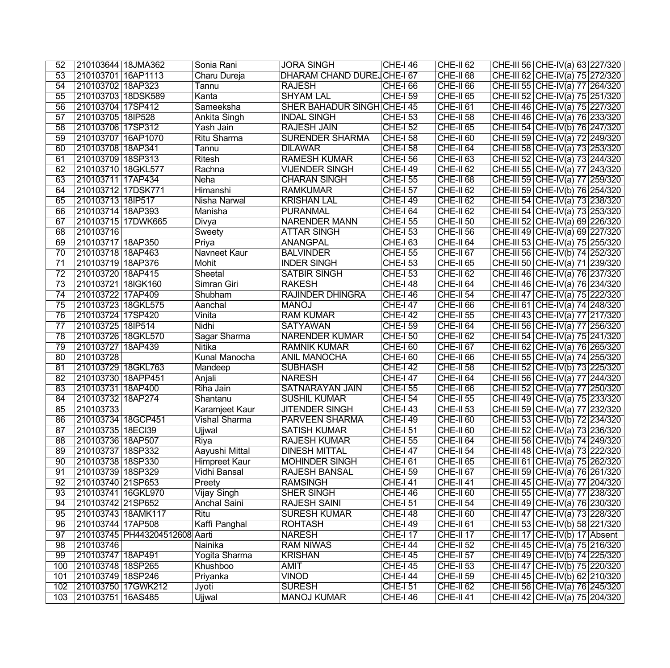| 52              | 210103644   18JMA362                                | Sonia Rani          | <b>JORA SINGH</b>                  | <b>CHE-I 46</b>                    | <b>CHE-II 62</b>           | CHE-III 56 CHE-IV(a) 63 227/320                                   |
|-----------------|-----------------------------------------------------|---------------------|------------------------------------|------------------------------------|----------------------------|-------------------------------------------------------------------|
| $\overline{53}$ | 210103701 16AP1113                                  | Charu Dureja        | <b>DHARAM CHAND DUREJ CHE-I 67</b> |                                    | CHE-II <sub>68</sub>       | CHE-III 62 CHE-IV(a) 75 272/320                                   |
| 54              | 210103702 18AP323                                   | Tannu               | <b>RAJESH</b>                      | <b>CHE-166</b>                     | CHE-II <sub>66</sub>       | CHE-III 55 CHE-IV(a) 77 264/320                                   |
| $\overline{55}$ | 210103703 18DSK589                                  | Kanta               | <b>SHYAM LAL</b>                   | <b>CHE-I 59</b>                    | <b>CHE-II 65</b>           | CHE-III 52 CHE-IV(a) 75 251/320                                   |
| $\overline{56}$ | 210103704 17SP412                                   | Sameeksha           | SHER BAHADUR SINGH CHE-I 45        |                                    | CHE-II <sub>61</sub>       | CHE-III 46 CHE-IV(a) 75 227/320                                   |
| $\overline{57}$ | 210103705 18IP528                                   | Ankita Singh        | <b>INDAL SINGH</b>                 | <b>CHE-I 53</b>                    | <b>CHE-II 58</b>           | CHE-III 46 CHE-IV(a) 76 233/320                                   |
| $\overline{58}$ | 210103706 17SP312                                   | Yash Jain           | <b>RAJESH JAIN</b>                 | <b>CHE-I 52</b>                    | <b>CHE-II 65</b>           | CHE-III 54 CHE-IV(b) 76 247/320                                   |
| $\overline{59}$ | 210103707 16AP1070                                  | <b>Ritu Sharma</b>  | <b>SURENDER SHARMA</b>             | <b>CHE-I 58</b>                    | CHE-II <sub>60</sub>       | CHE-III 59 CHE-IV(a) 72 249/320                                   |
| 60              | 210103708 18AP341                                   | Tannu               | <b>DILAWAR</b>                     | <b>CHE-I 58</b>                    | CHE-II <sub>64</sub>       | CHE-III 58 CHE-IV(a) 73 253/320                                   |
| 61              | 210103709 18SP313                                   | <b>Ritesh</b>       | <b>RAMESH KUMAR</b>                | <b>CHE-I 56</b>                    | <b>CHE-II 63</b>           | CHE-III 52 CHE-IV(a) 73 244/320                                   |
| 62              | 210103710 18GKL577                                  | Rachna              | <b>VIJENDER SINGH</b>              | <b>CHE-I 49</b>                    | $CHE-II 62$                | CHE-III 55 CHE-IV(a) 77 243/320                                   |
| 63              | 210103711 17AP434                                   | Neha                | <b>CHARAN SINGH</b>                | <b>CHE-I 55</b>                    | CHE-II <sub>68</sub>       | CHE-III 59 CHE-IV(a) 77 259/320                                   |
| 64              | 210103712 17DSK771                                  | Himanshi            | <b>RAMKUMAR</b>                    | <b>CHE-157</b>                     | $CHE-II 62$                | CHE-III 59 CHE-IV(b) 76 254/320                                   |
| 65              | 210103713 18IP517                                   | <b>Nisha Narwal</b> | <b>KRISHAN LAL</b>                 | <b>CHE-I 49</b>                    | CHE-II <sub>62</sub>       | CHE-III 54 CHE-IV(a) 73 238/320                                   |
| 66              | 210103714 18AP393                                   | Manisha             | <b>PURANMAL</b>                    | <b>CHE-164</b>                     | CHE-II <sub>62</sub>       | CHE-III 54 CHE-IV(a) 73 253/320                                   |
| 67              | 210103715 17DWK665                                  | Divya               | <b>NARENDER MANN</b>               | <b>CHE-I 55</b>                    | CHE-II 50                  | CHE-III 52 CHE-IV(a) 69 226/320                                   |
| 68              | 210103716                                           | Sweety              | <b>ATTAR SINGH</b>                 | <b>CHE-I 53</b>                    | <b>CHE-II 56</b>           | CHE-III 49 CHE-IV(a) 69 227/320                                   |
| 69              | 210103717 18AP350                                   | Priya               | <b>ANANGPAL</b>                    | CHE-I 63                           | CHE-II <sub>64</sub>       | CHE-III 53 CHE-IV(a) 75 255/320                                   |
| $\overline{70}$ | 210103718 18AP463                                   | <b>Navneet Kaur</b> | <b>BALVINDER</b>                   | <b>CHE-I 55</b>                    | CHE-II <sub>67</sub>       | CHE-III 56 CHE-IV(b) 74 252/320                                   |
| $\overline{71}$ | 210103719 18AP376                                   | Mohit               | <b>INDER SINGH</b>                 | <b>CHE-I 53</b>                    | $CHE-II$ 65                | CHE-III 50 CHE-IV(a) 71 239/320                                   |
| $\overline{72}$ | 210103720 18AP415                                   | Sheetal             | <b>SATBIR SINGH</b>                | $CHE-I$ 53                         | <b>CHE-II 62</b>           | CHE-III 46 CHE-IV(a) 76 237/320                                   |
| $\overline{73}$ | 210103721 18IGK160                                  | Simran Giri         | <b>RAKESH</b>                      | <b>CHE-I 48</b>                    | $CHE-II 64$                | CHE-III 46 CHE-IV(a) 76 234/320                                   |
| 74              | 210103722 17AP409                                   | Shubham             | <b>RAJINDER DHINGRA</b>            | <b>CHE-I 46</b>                    | CHE-II 54                  | CHE-III 47 CHE-IV(a) 75 222/320                                   |
| $\overline{75}$ | 210103723 18GKL575                                  | Aanchal             | <b>MANOJ</b>                       | <b>CHE-I 47</b>                    | CHE-II <sub>66</sub>       | CHE-III 61 CHE-IV(a) 74 248/320                                   |
| 76              | 210103724 17SP420                                   | Vinita              | <b>RAM KUMAR</b>                   | <b>CHE-I 42</b>                    | <b>CHE-II 55</b>           | CHE-III 43 CHE-IV(a) 77 217/320                                   |
| $\overline{77}$ | 210103725 18IP514                                   | Nidhi               | <b>SATYAWAN</b>                    | <b>CHE-I 59</b>                    | CHE-II <sub>64</sub>       | CHE-III 56 CHE-IV(a) 77 256/320                                   |
| 78              | 210103726 18GKL570                                  | Sagar Sharma        | <b>NARENDER KUMAR</b>              | <b>CHE-I 50</b>                    | $CHE-II 62$                | CHE-III 54 CHE-IV(a) 75 24 1/320                                  |
| $\overline{79}$ | 210103727 18AP439                                   | <b>Nitika</b>       | <b>RAMNIK KUMAR</b>                | $CHE-I$ 60                         | CHE-II <sub>67</sub>       | CHE-III 62 CHE-IV(a) 76 265/320                                   |
| 80              | 210103728                                           | Kunal Manocha       | <b>ANIL MANOCHA</b>                | <b>CHE-I 60</b>                    | $CHE-II 66$                | CHE-III 55 CHE-IV(a) 74 255/320                                   |
| 81              | 210103729 18GKL763                                  | Mandeep             | <b>SUBHASH</b>                     | <b>CHE-I 42</b>                    | <b>CHE-II 58</b>           | CHE-III 52 CHE-IV(b) 73 225/320                                   |
| 82              | 210103730 18APP451                                  | Anjali              | <b>NARESH</b>                      | <b>CHE-147</b>                     | $CHE-II 64$                | CHE-III 56 CHE-IV(a) 77 244/320                                   |
| 83              | 210103731 18AP400                                   | Riha Jain           | <b>SATNARAYAN JAIN</b>             | <b>CHE-I 55</b>                    | CHE-II <sub>66</sub>       | CHE-III 52 CHE-IV(a) 77 250/320                                   |
| 84              | 210103732 18AP274                                   | Shantanu            | <b>SUSHIL KUMAR</b>                | <b>CHE-I 54</b>                    | CHE-II 55                  | CHE-III 49 CHE-IV(a) 75 233/320                                   |
| 85              | 210103733                                           | Karamjeet Kaur      | <b>JITENDER SINGH</b>              | <b>CHE-I 43</b>                    | CHE-II 53                  | CHE-III 59 CHE-IV(a) 77 232/320                                   |
| 86              | 210103734 18GCP451                                  | Vishal Sharma       | PARVEEN SHARMA                     | <b>CHE-I 49</b>                    | $CHE-II$ 60                | CHE-III 53 CHE-IV(b) 72 234/320                                   |
| 87              | 210103735 18ECI39                                   | Ujjwal              | <b>SATISH KUMAR</b>                | <b>CHE-I 51</b>                    | CHE-II <sub>60</sub>       | CHE-III 52 CHE-IV(a) 73 236/320                                   |
| $\overline{88}$ | 210103736 18AP507                                   | Riya                | <b>RAJESH KUMAR</b>                | <b>CHE-I 55</b>                    | CHE-II <sub>64</sub>       | CHE-III 56 CHE-IV(b) 74 249/320                                   |
| 89              | 210103737 18SP332                                   | Aayushi Mittal      | <b>DINESH MITTAL</b>               | <b>CHE-I 47</b>                    | $CHE-II 54$                | CHE-III 48 CHE-IV(a) 73 222/320                                   |
| 90              | 210103738 18SP330                                   | Himpreet Kaur       | <b>MOHINDER SINGH</b>              | <b>CHE-I 61</b>                    | CHE-II <sub>65</sub>       | CHE-III 61 CHE-IV(a) 75 262/320                                   |
| 91              | 210103739 18SP329                                   | Vidhi Bansal        | RAJESH BANSAL                      | <b>CHE-I 59</b>                    | CHE-II <sub>67</sub>       | CHE-III 59 CHE-IV(a) 76 261/320                                   |
| 92              | 210103740 21SP653                                   | Preety              | <b>RAMSINGH</b>                    | <b>CHE-I 41</b>                    | CHE-II 41                  | CHE-III 45 CHE-IV(a) 77 204/320                                   |
| 93              | 210103741   16GKL970                                | <b>Vijay Singh</b>  | SHER SINGH                         | <b>CHE-I 46</b>                    | CHE-II <sub>60</sub>       | CHE-III 55 CHE-IV(a) 77 238/320                                   |
| 94              | 210103742 21SP652                                   | <b>Anchal Saini</b> | <b>RAJESH SAINI</b>                | <b>CHE-I 51</b>                    | <b>CHE-II 54</b>           | CHE-III 49 CHE-IV(a) 76 230/320                                   |
| 95              | 210103743 18AMK117                                  | Ritu                | <b>SURESH KUMAR</b>                | <b>CHE-I 48</b>                    | CHE-II <sub>60</sub>       | CHE-III 47 CHE-IV(a) 73 228/320                                   |
| 96              |                                                     |                     | <b>ROHTASH</b>                     |                                    |                            |                                                                   |
| 97              | 210103744 17AP508<br>210103745 PH443204512608 Aarti | Kaffi Panghal       | <b>NARESH</b>                      | <b>CHE-I 49</b><br><b>CHE-I 17</b> | $CHE-II 61$<br>$CHE-II 17$ | CHE-III 53 CHE-IV(b) 58 221/320<br>CHE-III 17 CHE-IV(b) 17 Absent |
| $\overline{98}$ | 210103746                                           | Nainika             | <b>RAM NIWAS</b>                   |                                    | $CHE-II 52$                | CHE-III 45 CHE-IV(a) 75 216/320                                   |
| 99              |                                                     |                     | <b>KRISHAN</b>                     | <b>CHE-I 44</b>                    |                            |                                                                   |
|                 | 210103747   18AP491                                 | Yogita Sharma       | <b>AMIT</b>                        | <b>CHE-I 45</b>                    | CHE-II 57                  | CHE-III 49 CHE-IV(b) 74 225/320                                   |
| 100             | 210103748 18SP265                                   | Khushboo            |                                    | <b>CHE-I 45</b>                    | CHE-II <sub>53</sub>       | CHE-III 47 CHE-IV(b) 75 220/320                                   |
| 101             | 210103749 18SP246                                   | Priyanka            | <b>VINOD</b>                       | <b>CHE-I 44</b>                    | CHE-II 59                  | CHE-III 45 CHE-IV(b) 62 210/320                                   |
| 102             | 210103750 17GWK212                                  | Jyoti               | <b>SURESH</b>                      | <b>CHE-I 51</b>                    | $CHE-II 62$                | CHE-III 56 CHE-IV(a) 76 245/320                                   |
| 103             | 210103751 16AS485                                   | Ujjwal              | <b>MANOJ KUMAR</b>                 | <b>CHE-I 46</b>                    | CHE-II 41                  | CHE-III 42 CHE-IV(a) 75 204/320                                   |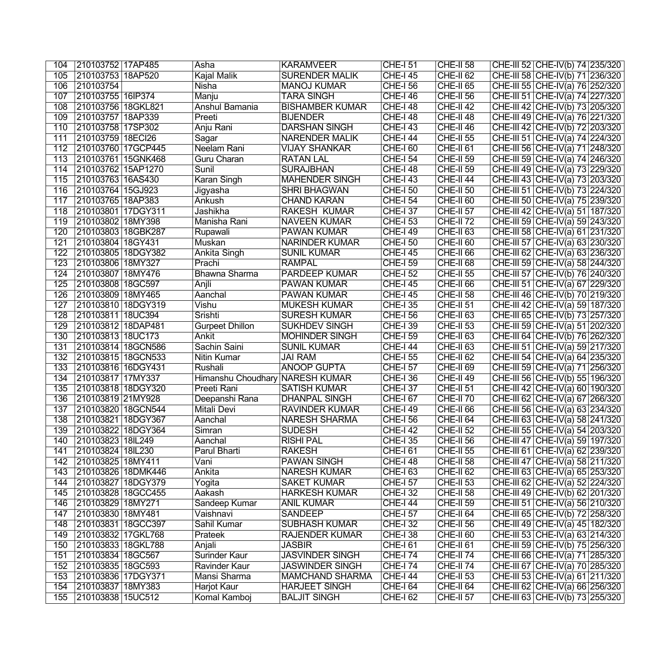| 104              | 210103752   17AP485                     | Asha                            | <b>KARAMVEER</b>                                 | <b>CHE-I 51</b>                   | $CHE-II 58$                | CHE-III 52 CHE-IV(b) 74 235/320                                    |
|------------------|-----------------------------------------|---------------------------------|--------------------------------------------------|-----------------------------------|----------------------------|--------------------------------------------------------------------|
| 105              | 210103753 18AP520                       | Kajal Malik                     | <b>SURENDER MALIK</b>                            | $CHE-I$ 45                        | CHE-II <sub>62</sub>       | CHE-III 58 CHE-IV(b) 71 236/320                                    |
| 106              | 210103754                               | <b>Nisha</b>                    | <b>MANOJ KUMAR</b>                               | <b>CHE-I 56</b>                   | $CHE-II 65$                | CHE-III 55 CHE-IV(a) 76 252/320                                    |
| 107              | 210103755 16IP374                       | Manju                           | <b>TARA SINGH</b>                                | <b>CHE-I 46</b>                   | <b>CHE-II 56</b>           | CHE-III 51 CHE-IV(a) 74 227/320                                    |
| 108              | 210103756 18GKL821                      | Anshul Bamania                  | <b>BISHAMBER KUMAR</b>                           | $CHE-I$ 48                        | $CHE-II 42$                | CHE-III 42 CHE-IV(b) 73 205/320                                    |
| 109              | 210103757 18AP339                       | Preeti                          | <b>BIJENDER</b>                                  | <b>CHE-I 48</b>                   | $CHE-II 48$                | CHE-III 49 CHE-IV(a) 76 221/320                                    |
| 110              | 210103758 17SP302                       | Anju Rani                       | <b>DARSHAN SINGH</b>                             | <b>CHE-143</b>                    | $CHE-II 46$                | CHE-III 42 CHE-IV(b) 72 203/320                                    |
| 111              | 210103759 18ECI26                       | Sagar                           | <b>NARENDER MALIK</b>                            | $CHE-I$ 44                        | <b>CHE-II 55</b>           | CHE-III 51 CHE-IV(a) 74 224/320                                    |
| 112              | 210103760 17GCP445                      | Neelam Rani                     | VIJAY SHANKAR                                    | <b>CHE-I 60</b>                   | $CHE-II 61$                | CHE-III 56 CHE-IV(a) 71 248/320                                    |
| 113              | 210103761 15GNK468                      | Guru Charan                     | <b>RATAN LAL</b>                                 | <b>CHE-I 54</b>                   | $CHE-II 59$                | CHE-III 59 CHE-IV(a) 74 246/320                                    |
| 114              | 210103762 15AP1270                      | Sunil                           | <b>SURAJBHAN</b>                                 | <b>CHE-I 48</b>                   | <b>CHE-II 59</b>           | CHE-III 49 CHE-IV(a) 73 229/320                                    |
| 115              | 210103763 16AS430                       | <b>Karan Singh</b>              | <b>MAHENDER SINGH</b>                            | <b>CHE-143</b>                    | $CHE-II 44$                | CHE-III 43 CHE-IV(a) 73 203/320                                    |
| 116              | 210103764 15GJ923                       | Jigyasha                        | <b>SHRI BHAGWAN</b>                              | <b>CHE-I 50</b>                   | $CHE-II 50$                | CHE-III 51 CHE-IV(b) 73 224/320                                    |
| 117              | 210103765 18AP383                       | Ankush                          | <b>CHAND KARAN</b>                               | <b>CHE-I 54</b>                   | $CHE-II 60$                | CHE-III 50 CHE-IV(a) 75 239/320                                    |
| 118              | 210103801 17DGY311                      | Jashikha                        | <b>RAKESH KUMAR</b>                              | <b>CHE-I 37</b>                   | $CHE-II 57$                | CHE-III 42 CHE-IV(a) 51 187/320                                    |
| 119              | 210103802 18MY398                       | Manisha Rani                    | <b>NAVEEN KUMAR</b>                              | <b>CHE-153</b>                    | $CHE-II 72$                | CHE-III 59 CHE-IV(a) 59 243/320                                    |
| 120              | 210103803 18GBK287                      | Rupawali                        | <b>PAWAN KUMAR</b>                               | <b>CHE-I 49</b>                   | $CHE-II 63$                | CHE-III 58 CHE-IV(a) 61 231/320                                    |
| 121              | 210103804 18GY431                       | Muskan                          | <b>NARINDER KUMAR</b>                            | <b>CHE-I 50</b>                   | CHE-II <sub>60</sub>       | CHE-III 57 CHE-IV(a) 63 230/320                                    |
| 122              | 210103805 18DGY382                      | Ankita Singh                    | <b>SUNIL KUMAR</b>                               | <b>CHE-I 45</b>                   | CHE-II <sub>66</sub>       | CHE-III 62 CHE-IV(a) 63 236/320                                    |
| 123              | 210103806 18MY327                       | Prachi                          | <b>RAMPAL</b>                                    | <b>CHE-I 59</b>                   | CHE-II <sub>68</sub>       | CHE-III 59 CHE-IV(a) 58 244/320                                    |
| 124              | 210103807 18MY476                       | <b>Bhawna Sharma</b>            | <b>PARDEEP KUMAR</b>                             | <b>CHE-I 52</b>                   | <b>CHE-II 55</b>           | CHE-III 57 CHE-IV(b) 76 240/320                                    |
| 125              | 210103808 18GC597                       | Anjli                           | PAWAN KUMAR                                      | <b>CHE-I 45</b>                   | CHE-II <sub>66</sub>       | CHE-III 51 CHE-IV(a) 67 229/320                                    |
| 126              | 210103809 18MY465                       | Aanchal                         | PAWAN KUMAR                                      | <b>CHE-I 45</b>                   | CHE-II <sub>58</sub>       | CHE-III 46 CHE-IV(b) 70 219/320                                    |
| 127              | 210103810 18DGY319                      | Vishu                           | <b>MUKESH KUMAR</b>                              | <b>CHE-I 35</b>                   | CHE-II <sub>51</sub>       | CHE-III 42 CHE-IV(a) 59 187/320                                    |
| 128              | 210103811 18UC394                       | Srishti                         | <b>SURESH KUMAR</b>                              | <b>CHE-I 56</b>                   | CHE-II <sub>63</sub>       | CHE-III 65 CHE-IV(b) 73 257/320                                    |
| 129              | 210103812 18DAP481                      | Gurpeet Dhillon                 | <b>SUKHDEV SINGH</b>                             | <b>CHE-I 39</b>                   | CHE-II 53                  | CHE-III 59 CHE-IV(a) 51 202/320                                    |
| 130              | 210103813 18UC173                       | Ankit                           | <b>MOHINDER SINGH</b>                            | <b>CHE-I 59</b>                   | CHE-II <sub>63</sub>       | CHE-III 64 CHE-IV(b) 76 262/320                                    |
| 131              | 210103814 18GCN586                      | Sachin Saini                    | <b>SUNIL KUMAR</b>                               | <b>CHE-I 44</b>                   | CHE-II 63                  | CHE-III 51 CHE-IV(a) 59 217/320                                    |
| 132              | 210103815 18GCN533                      | Nitin Kumar                     | <b>JAI RAM</b>                                   | $CHE-I$ 55                        | $CHE-II 62$                | CHE-III 54 CHE-IV(a) 64 235/320                                    |
| 133              | 210103816 16DGY431                      | Rushali                         | <b>ANOOP GUPTA</b>                               | <b>CHE-I 57</b>                   | CHE-II 69                  | CHE-III 59 CHE-IV(a) 71 256/320                                    |
| 134              | 210103817 17MY337                       | Himanshu Choudhary NARESH KUMAR |                                                  | $CHE-I$ 36                        | $ $ CHE-II 49              | CHE-III 56 CHE-IV(b) 55 196/320                                    |
| 135              | 210103818 18DGY320                      | Preeti Rani                     | <b>SATISH KUMAR</b>                              | <b>CHE-I 37</b>                   | $ $ CHE-II 51              | CHE-III 42 CHE-IV(a) 60 190/320                                    |
| 136              | 210103819 21MY928                       | Deepanshi Rana                  | <b>DHANPAL SINGH</b>                             | CHE-I 67                          | $ $ CHE-II 70              | CHE-III 62 CHE-IV(a) 67 266/320                                    |
| 137              | 210103820 18GCN544                      | Mitali Devi                     | <b>RAVINDER KUMAR</b>                            | <b>CHE-I 49</b>                   | CHE-II <sub>66</sub>       | CHE-III 56 CHE-IV(a) 63 234/320                                    |
| 138              | 210103821 18DGY367                      | Aanchal                         | <b>NARESH SHARMA</b>                             | $CHE-I$ 56                        | CHE-II <sub>64</sub>       | CHE-III 63 CHE-IV(a) 58 241/320                                    |
| 139              | 210103822 18DGY364                      | Simran                          | <b>SUDESH</b>                                    | $CHE-I$ 42                        | <b>CHE-II 52</b>           | CHE-III 55 CHE-IV(a) 54 203/320                                    |
| $\overline{140}$ | 210103823 18IL249                       | Aanchal                         | <b>RISHI PAL</b>                                 | <b>CHE-I 35</b>                   | $CHE-II 56$                | CHE-III 47 CHE-IV(a) 59 197/320                                    |
| 141              | 210103824 18L230                        | Parul Bharti                    | <b>RAKESH</b>                                    | <b>CHE-161</b>                    | $ $ CHE-II 55              | CHE-III 61 CHE-IV(a) 62 239/320                                    |
| 142              | 210103825 18MY411                       | Vani                            | <b>PAWAN SINGH</b>                               | <b>CHE-I 48</b>                   | $ $ CHE-II 58              | CHE-III 47 CHE-IV(a) 58 211/320                                    |
| 143              | 210103826 18DMK446                      | Ankita                          | <b>NARESH KUMAR</b>                              | CHE-I 63                          | $ $ CHE-II 62              | CHE-III 63 CHE-IV(a) 65 253/320                                    |
| 144              | 210103827 18DGY379                      | Yogita                          | <b>SAKET KUMAR</b>                               | <b>CHE-I 57</b>                   | $ $ CHE-II 53              | CHE-III 62 CHE-IV(a) 52 224/320                                    |
| 145              | 210103828 18GCC455                      | Aakash                          | <b>HARKESH KUMAR</b>                             | <b>CHE-I 32</b>                   | CHE-II 58                  | CHE-III 49 CHE-IV(b) 62 201/320                                    |
| 146              | 210103829 18MY271                       | Sandeep Kumar                   | <b>ANIL KUMAR</b>                                | <b>CHE-I 44</b>                   | CHE-II 59                  | CHE-III 51 CHE-IV(a) 56 210/320                                    |
| 147              | 210103830 18MY481                       | Vaishnavi                       | <b>SANDEEP</b>                                   | <b>CHE-I 57</b>                   | $CHE-II 64$                | CHE-III 65 CHE-IV(b) 72 258/320                                    |
| 148              | 210103831 18GCC397                      | Sahil Kumar                     | <b>SUBHASH KUMAR</b>                             | <b>CHE-I 32</b>                   | $CHE-II 56$                | CHE-III 49 CHE-IV(a) 45 182/320                                    |
| 149              | 210103832 17GKL768                      | Prateek                         | <b>RAJENDER KUMAR</b>                            | <b>CHE-I 38</b>                   | $CHE-II 60$                | CHE-III 53 CHE-IV(a) 63 214/320                                    |
| 150              | 210103833 18GKL788                      | Anjali                          | <b>JASBIR</b>                                    | <b>CHE-161</b>                    | $CHE-II 61$                | CHE-III 59 CHE-IV(b) 75 256/320                                    |
| 151              | 210103834 18GC567                       | Surinder Kaur                   | <b>JASVINDER SINGH</b>                           | <b>CHE-174</b>                    | $CHE-II 74$                | CHE-III 66 CHE-IV(a) $71$ 285/320                                  |
| 152<br>153       | 210103835 18GC593                       | Ravinder Kaur<br>Mansi Sharma   | <b>JASWINDER SINGH</b><br><b>MAMCHAND SHARMA</b> | <b>CHE-174</b>                    | $CHE-II 74$                | CHE-III 67 CHE-IV(a) 70 285/320                                    |
| 154              | 210103836 17DGY371<br>210103837 18MY383 | <b>Harjot Kaur</b>              | <b>HARJEET SINGH</b>                             | <b>CHE-144</b><br><b>CHE-I 64</b> | $CHE-II 53$<br>$CHE-II 64$ | CHE-III 53 CHE-IV(a) 61 211/320<br>CHE-III 62 CHE-IV(a) 66 256/320 |
| 155              |                                         | Komal Kamboj                    | <b>BALJIT SINGH</b>                              |                                   |                            |                                                                    |
|                  | 210103838 15UC512                       |                                 |                                                  | <b>CHE-I 62</b>                   | CHE-II <sub>57</sub>       | CHE-III 63 CHE-IV(b) 73 255/320                                    |